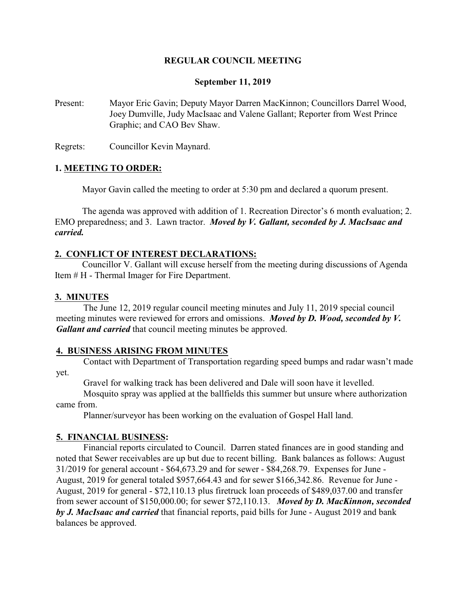### **REGULAR COUNCIL MEETING**

#### **September 11, 2019**

Present: Mayor Eric Gavin; Deputy Mayor Darren MacKinnon; Councillors Darrel Wood, Joey Dumville, Judy MacIsaac and Valene Gallant; Reporter from West Prince Graphic; and CAO Bev Shaw.

Regrets: Councillor Kevin Maynard.

#### **1. MEETING TO ORDER:**

Mayor Gavin called the meeting to order at 5:30 pm and declared a quorum present.

The agenda was approved with addition of 1. Recreation Director's 6 month evaluation; 2. EMO preparedness; and 3. Lawn tractor. *Moved by V. Gallant, seconded by J. MacIsaac and carried.*

#### **2. CONFLICT OF INTEREST DECLARATIONS:**

Councillor V. Gallant will excuse herself from the meeting during discussions of Agenda Item # H - Thermal Imager for Fire Department.

#### **3. MINUTES**

The June 12, 2019 regular council meeting minutes and July 11, 2019 special council meeting minutes were reviewed for errors and omissions. *Moved by D. Wood, seconded by V. Gallant and carried* that council meeting minutes be approved.

#### **4. BUSINESS ARISING FROM MINUTES**

Contact with Department of Transportation regarding speed bumps and radar wasn't made yet.

Gravel for walking track has been delivered and Dale will soon have it levelled.

Mosquito spray was applied at the ballfields this summer but unsure where authorization came from.

Planner/surveyor has been working on the evaluation of Gospel Hall land.

#### **5. FINANCIAL BUSINESS:**

Financial reports circulated to Council. Darren stated finances are in good standing and noted that Sewer receivables are up but due to recent billing. Bank balances as follows: August 31/2019 for general account - \$64,673.29 and for sewer - \$84,268.79. Expenses for June - August, 2019 for general totaled \$957,664.43 and for sewer \$166,342.86. Revenue for June - August, 2019 for general - \$72,110.13 plus firetruck loan proceeds of \$489,037.00 and transfer from sewer account of \$150,000.00; for sewer \$72,110.13. *Moved by D. MacKinnon, seconded by J. MacIsaac and carried* that financial reports, paid bills for June - August 2019 and bank balances be approved.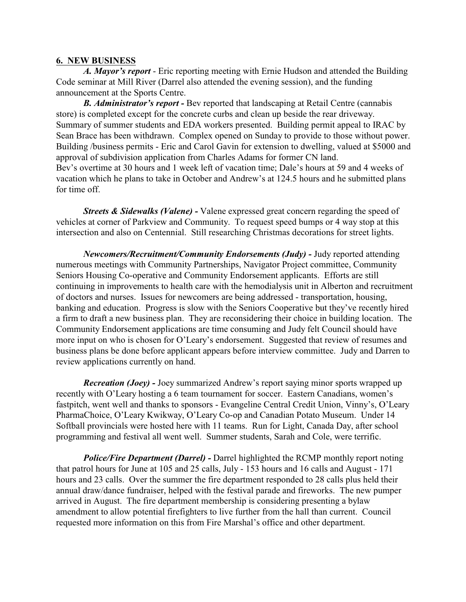#### **6. NEW BUSINESS**

*A. Mayor's report* - Eric reporting meeting with Ernie Hudson and attended the Building Code seminar at Mill River (Darrel also attended the evening session), and the funding announcement at the Sports Centre.

*B. Administrator's report -* Bev reported that landscaping at Retail Centre (cannabis store) is completed except for the concrete curbs and clean up beside the rear driveway. Summary of summer students and EDA workers presented. Building permit appeal to IRAC by Sean Brace has been withdrawn. Complex opened on Sunday to provide to those without power. Building /business permits - Eric and Carol Gavin for extension to dwelling, valued at \$5000 and approval of subdivision application from Charles Adams for former CN land. Bev's overtime at 30 hours and 1 week left of vacation time; Dale's hours at 59 and 4 weeks of vacation which he plans to take in October and Andrew's at 124.5 hours and he submitted plans for time off.

*Streets & Sidewalks (Valene) -* Valene expressed great concern regarding the speed of vehicles at corner of Parkview and Community. To request speed bumps or 4 way stop at this intersection and also on Centennial. Still researching Christmas decorations for street lights.

*Newcomers/Recruitment/Community Endorsements (Judy) - Judy reported attending* numerous meetings with Community Partnerships, Navigator Project committee, Community Seniors Housing Co-operative and Community Endorsement applicants. Efforts are still continuing in improvements to health care with the hemodialysis unit in Alberton and recruitment of doctors and nurses. Issues for newcomers are being addressed - transportation, housing, banking and education. Progress is slow with the Seniors Cooperative but they've recently hired a firm to draft a new business plan. They are reconsidering their choice in building location. The Community Endorsement applications are time consuming and Judy felt Council should have more input on who is chosen for O'Leary's endorsement. Suggested that review of resumes and business plans be done before applicant appears before interview committee. Judy and Darren to review applications currently on hand.

*Recreation (Joey) -* Joey summarized Andrew's report saying minor sports wrapped up recently with O'Leary hosting a 6 team tournament for soccer. Eastern Canadians, women's fastpitch, went well and thanks to sponsors - Evangeline Central Credit Union, Vinny's, O'Leary PharmaChoice, O'Leary Kwikway, O'Leary Co-op and Canadian Potato Museum.Under 14 Softball provincials were hosted here with 11 teams. Run for Light, Canada Day, after school programming and festival all went well. Summer students, Sarah and Cole, were terrific.

*Police/Fire Department (Darrel) -* Darrel highlighted the RCMP monthly report noting that patrol hours for June at 105 and 25 calls, July - 153 hours and 16 calls and August - 171 hours and 23 calls. Over the summer the fire department responded to 28 calls plus held their annual draw/dance fundraiser, helped with the festival parade and fireworks. The new pumper arrived in August. The fire department membership is considering presenting a bylaw amendment to allow potential firefighters to live further from the hall than current. Council requested more information on this from Fire Marshal's office and other department.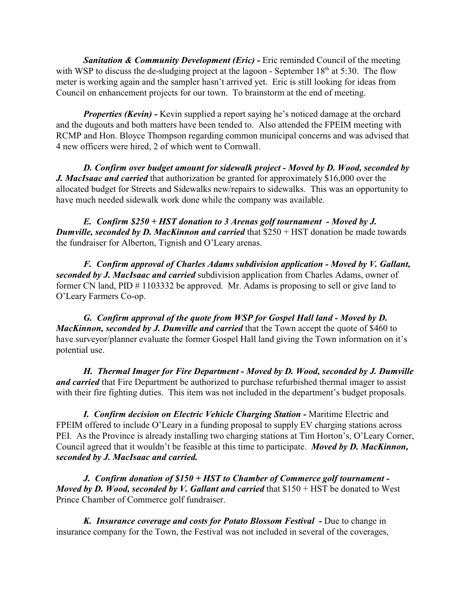**Sanitation & Community Development (Eric) - Eric reminded Council of the meeting** with WSP to discuss the de-sludging project at the lagoon - September  $18<sup>th</sup>$  at 5:30. The flow meter is working again and the sampler hasn't arrived yet. Eric is still looking for ideas from Council on enhancement projects for our town. To brainstorm at the end of meeting.

*Properties (Kevin)* - Kevin supplied a report saying he's noticed damage at the orchard and the dugouts and both matters have been tended to. Also attended the FPEIM meeting with RCMP and Hon. Bloyce Thompson regarding common municipal concerns and was advised that 4 new officers were hired, 2 of which went to Cornwall.

*D. Confirm over budget amount for sidewalk project - Moved by D. Wood, seconded by J. MacIsaac and carried* that authorization be granted for approximately \$16,000 over the allocated budget for Streets and Sidewalks new/repairs to sidewalks. This was an opportunity to have much needed sidewalk work done while the company was available.

*E. Confirm \$250 + HST donation to 3 Arenas golf tournament - Moved by J. Dumville, seconded by D. MacKinnon and carried that \$250 + HST donation be made towards* the fundraiser for Alberton, Tignish and O'Leary arenas.

*F. Confirm approval of Charles Adams subdivision application - Moved by V. Gallant, seconded by J. MacIsaac and carried* subdivision application from Charles Adams, owner of former CN land, PID # 1103332 be approved. Mr. Adams is proposing to sell or give land to O'Leary Farmers Co-op.

*G. Confirm approval of the quote from WSP for Gospel Hall land - Moved by D. MacKinnon, seconded by J. Dumville and carried* that the Town accept the quote of \$460 to have surveyor/planner evaluate the former Gospel Hall land giving the Town information on it's potential use.

*H. Thermal Imager for Fire Department - Moved by D. Wood, seconded by J. Dumville and carried* that Fire Department be authorized to purchase refurbished thermal imager to assist with their fire fighting duties. This item was not included in the department's budget proposals.

**I. Confirm decision on Electric Vehicle Charging Station - Maritime Electric and** FPEIM offered to include O'Leary in a funding proposal to supply EV charging stations across PEI. As the Province is already installing two charging stations at Tim Horton's, O'Leary Corner, Council agreed that it wouldn't be feasible at this time to participate. *Moved by D. MacKinnon, seconded by J. MacIsaac and carried.*

*J. Confirm donation of \$150 + HST to Chamber of Commerce golf tournament - Moved by D. Wood, seconded by V. Gallant and carried that* \$150 + HST be donated to West Prince Chamber of Commerce golf fundraiser.

*K. Insurance coverage and costs for Potato Blossom Festival -* Due to change in insurance company for the Town, the Festival was not included in several of the coverages,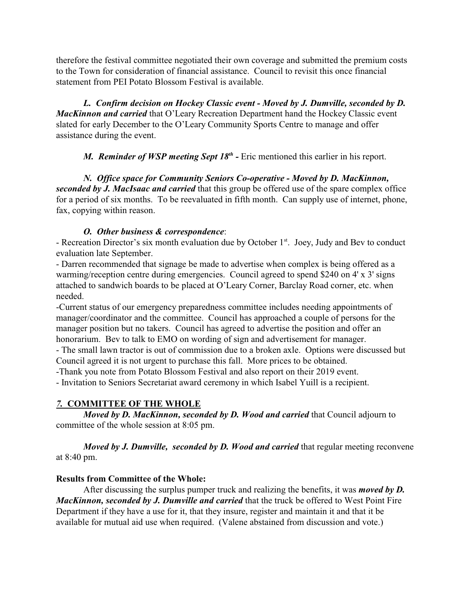therefore the festival committee negotiated their own coverage and submitted the premium costs to the Town for consideration of financial assistance. Council to revisit this once financial statement from PEI Potato Blossom Festival is available.

*L. Confirm decision on Hockey Classic event - Moved by J. Dumville, seconded by D. MacKinnon and carried* that O'Leary Recreation Department hand the Hockey Classic event slated for early December to the O'Leary Community Sports Centre to manage and offer assistance during the event.

*M.* Reminder of WSP meeting Sept 18<sup>th</sup> - Eric mentioned this earlier in his report.

*N. Office space for Community Seniors Co-operative - Moved by D. MacKinnon, seconded by J. MacIsaac and carried* that this group be offered use of the spare complex office for a period of six months. To be reevaluated in fifth month. Can supply use of internet, phone, fax, copying within reason.

## *O. Other business & correspondence*:

- Recreation Director's six month evaluation due by October 1<sup>st</sup>. Joey, Judy and Bev to conduct evaluation late September.

- Darren recommended that signage be made to advertise when complex is being offered as a warming/reception centre during emergencies. Council agreed to spend \$240 on 4' x 3' signs attached to sandwich boards to be placed at O'Leary Corner, Barclay Road corner, etc. when needed.

-Current status of our emergency preparedness committee includes needing appointments of manager/coordinator and the committee. Council has approached a couple of persons for the manager position but no takers. Council has agreed to advertise the position and offer an honorarium. Bev to talk to EMO on wording of sign and advertisement for manager.

- The small lawn tractor is out of commission due to a broken axle. Options were discussed but Council agreed it is not urgent to purchase this fall. More prices to be obtained.

-Thank you note from Potato Blossom Festival and also report on their 2019 event.

- Invitation to Seniors Secretariat award ceremony in which Isabel Yuill is a recipient.

# *7.* **COMMITTEE OF THE WHOLE**

*Moved by D. MacKinnon, seconded by D. Wood and carried that Council adjourn to* committee of the whole session at 8:05 pm.

*Moved by J. Dumville, seconded by D. Wood and carried that regular meeting reconvene* at 8:40 pm.

## **Results from Committee of the Whole:**

After discussing the surplus pumper truck and realizing the benefits, it was *moved by D. MacKinnon, seconded by J. Dumville and carried* that the truck be offered to West Point Fire Department if they have a use for it, that they insure, register and maintain it and that it be available for mutual aid use when required. (Valene abstained from discussion and vote.)